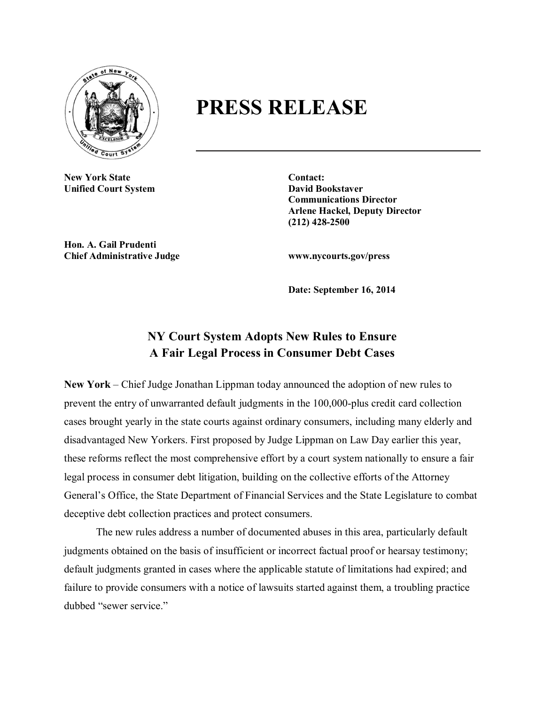

## **PRESS RELEASE**

**New York State Contact: Unified Court System David Bookstaver** 

**Communications Director Arlene Hackel, Deputy Director (212) 428-2500**

**Hon. A. Gail Prudenti Chief Administrative Judge www.nycourts.gov/press**

**Date: September 16, 2014**

## **NY Court System Adopts New Rules to Ensure A Fair Legal Process in Consumer Debt Cases**

**New York** – Chief Judge Jonathan Lippman today announced the adoption of new rules to prevent the entry of unwarranted default judgments in the 100,000-plus credit card collection cases brought yearly in the state courts against ordinary consumers, including many elderly and disadvantaged New Yorkers. First proposed by Judge Lippman on Law Day earlier this year, these reforms reflect the most comprehensive effort by a court system nationally to ensure a fair legal process in consumer debt litigation, building on the collective efforts of the Attorney General's Office, the State Department of Financial Services and the State Legislature to combat deceptive debt collection practices and protect consumers.

The new rules address a number of documented abuses in this area, particularly default judgments obtained on the basis of insufficient or incorrect factual proof or hearsay testimony; default judgments granted in cases where the applicable statute of limitations had expired; and failure to provide consumers with a notice of lawsuits started against them, a troubling practice dubbed "sewer service."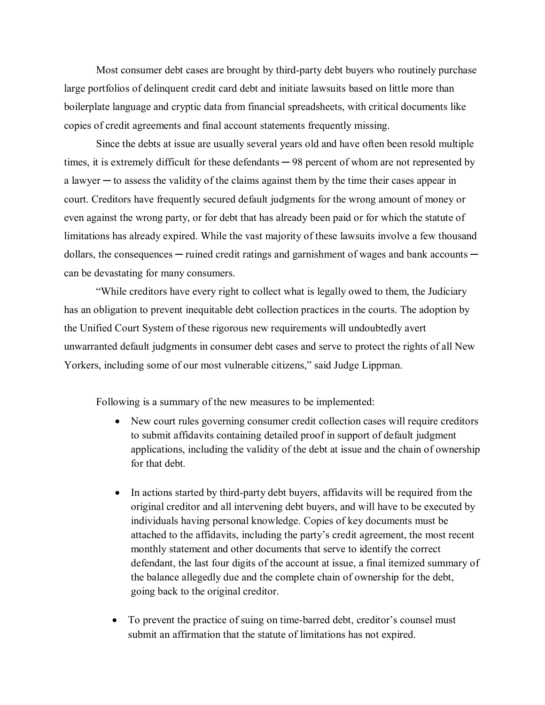Most consumer debt cases are brought by third-party debt buyers who routinely purchase large portfolios of delinquent credit card debt and initiate lawsuits based on little more than boilerplate language and cryptic data from financial spreadsheets, with critical documents like copies of credit agreements and final account statements frequently missing.

Since the debts at issue are usually several years old and have often been resold multiple times, it is extremely difficult for these defendants  $-98$  percent of whom are not represented by a lawyer  $-$  to assess the validity of the claims against them by the time their cases appear in court. Creditors have frequently secured default judgments for the wrong amount of money or even against the wrong party, or for debt that has already been paid or for which the statute of limitations has already expired. While the vast majority of these lawsuits involve a few thousand dollars, the consequences — ruined credit ratings and garnishment of wages and bank accounts can be devastating for many consumers.

"While creditors have every right to collect what is legally owed to them, the Judiciary has an obligation to prevent inequitable debt collection practices in the courts. The adoption by the Unified Court System of these rigorous new requirements will undoubtedly avert unwarranted default judgments in consumer debt cases and serve to protect the rights of all New Yorkers, including some of our most vulnerable citizens," said Judge Lippman.

Following is a summary of the new measures to be implemented:

- New court rules governing consumer credit collection cases will require creditors to submit affidavits containing detailed proof in support of default judgment applications, including the validity of the debt at issue and the chain of ownership for that debt*.*
- In actions started by third-party debt buyers, affidavits will be required from the original creditor and all intervening debt buyers, and will have to be executed by individuals having personal knowledge. Copies of key documents must be attached to the affidavits, including the party's credit agreement, the most recent monthly statement and other documents that serve to identify the correct defendant, the last four digits of the account at issue, a final itemized summary of the balance allegedly due and the complete chain of ownership for the debt, going back to the original creditor.
- To prevent the practice of suing on time-barred debt, creditor's counsel must submit an affirmation that the statute of limitations has not expired.